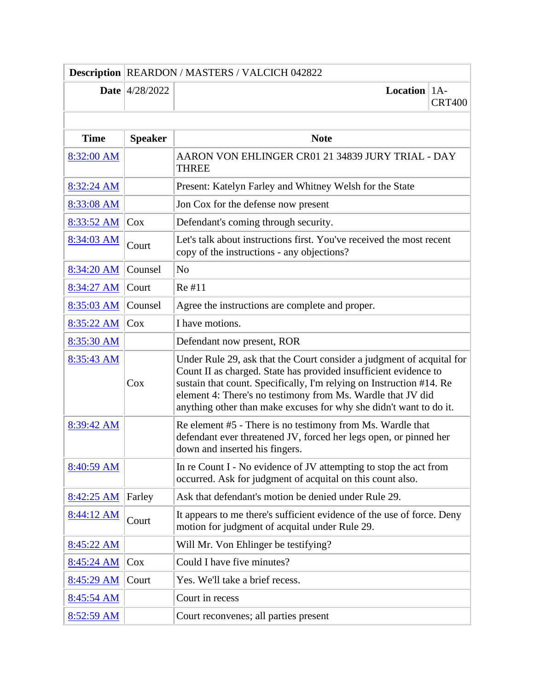|                   | Description   REARDON / MASTERS / VALCICH 042822 |                                                                                                                                                                                                                                                                                                                                                        |               |
|-------------------|--------------------------------------------------|--------------------------------------------------------------------------------------------------------------------------------------------------------------------------------------------------------------------------------------------------------------------------------------------------------------------------------------------------------|---------------|
|                   | <b>Date</b> $ 4/28/2022$                         | <b>Location</b>   $1A$ -                                                                                                                                                                                                                                                                                                                               | <b>CRT400</b> |
|                   |                                                  |                                                                                                                                                                                                                                                                                                                                                        |               |
| <b>Time</b>       | <b>Speaker</b>                                   | <b>Note</b>                                                                                                                                                                                                                                                                                                                                            |               |
| 8:32:00 AM        |                                                  | AARON VON EHLINGER CR01 21 34839 JURY TRIAL - DAY<br><b>THREE</b>                                                                                                                                                                                                                                                                                      |               |
| 8:32:24 AM        |                                                  | Present: Katelyn Farley and Whitney Welsh for the State                                                                                                                                                                                                                                                                                                |               |
| 8:33:08 AM        |                                                  | Jon Cox for the defense now present                                                                                                                                                                                                                                                                                                                    |               |
| 8:33:52 AM        | Cox                                              | Defendant's coming through security.                                                                                                                                                                                                                                                                                                                   |               |
| 8:34:03 AM        | Court                                            | Let's talk about instructions first. You've received the most recent<br>copy of the instructions - any objections?                                                                                                                                                                                                                                     |               |
| 8:34:20 AM        | Counsel                                          | N <sub>o</sub>                                                                                                                                                                                                                                                                                                                                         |               |
| 8:34:27 AM        | Court                                            | Re #11                                                                                                                                                                                                                                                                                                                                                 |               |
| 8:35:03 AM        | Counsel                                          | Agree the instructions are complete and proper.                                                                                                                                                                                                                                                                                                        |               |
| 8:35:22 AM        | Cox                                              | I have motions.                                                                                                                                                                                                                                                                                                                                        |               |
| 8:35:30 AM        |                                                  | Defendant now present, ROR                                                                                                                                                                                                                                                                                                                             |               |
| 8:35:43 AM        | Cox                                              | Under Rule 29, ask that the Court consider a judgment of acquital for<br>Count II as charged. State has provided insufficient evidence to<br>sustain that count. Specifically, I'm relying on Instruction #14. Re<br>element 4: There's no testimony from Ms. Wardle that JV did<br>anything other than make excuses for why she didn't want to do it. |               |
| 8:39:42 AM        |                                                  | Re element #5 - There is no testimony from Ms. Wardle that<br>defendant ever threatened JV, forced her legs open, or pinned her<br>down and inserted his fingers.                                                                                                                                                                                      |               |
| 8:40:59 AM        |                                                  | In re Count I - No evidence of JV attempting to stop the act from<br>occurred. Ask for judgment of acquital on this count also.                                                                                                                                                                                                                        |               |
| 8:42:25 AM        | Farley                                           | Ask that defendant's motion be denied under Rule 29.                                                                                                                                                                                                                                                                                                   |               |
| 8:44:12 AM        | Court                                            | It appears to me there's sufficient evidence of the use of force. Deny<br>motion for judgment of acquital under Rule 29.                                                                                                                                                                                                                               |               |
| 8:45:22 AM        |                                                  | Will Mr. Von Ehlinger be testifying?                                                                                                                                                                                                                                                                                                                   |               |
| 8:45:24 AM        | Cox                                              | Could I have five minutes?                                                                                                                                                                                                                                                                                                                             |               |
| 8:45:29 AM        | Court                                            | Yes. We'll take a brief recess.                                                                                                                                                                                                                                                                                                                        |               |
| 8:45:54 AM        |                                                  | Court in recess                                                                                                                                                                                                                                                                                                                                        |               |
| <u>8:52:59 AM</u> |                                                  | Court reconvenes; all parties present                                                                                                                                                                                                                                                                                                                  |               |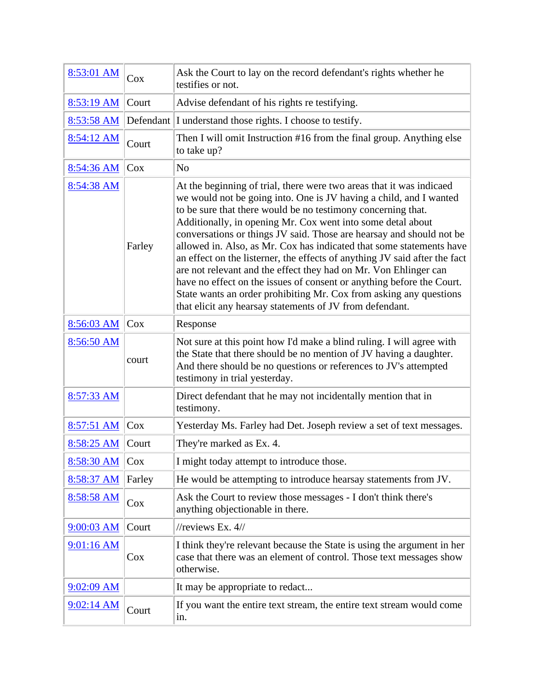| 8:53:01 AM   | Cox    | Ask the Court to lay on the record defendant's rights whether he<br>testifies or not.                                                                                                                                                                                                                                                                                                                                                                                                                                                                                                                                                                                                                                                                                                  |
|--------------|--------|----------------------------------------------------------------------------------------------------------------------------------------------------------------------------------------------------------------------------------------------------------------------------------------------------------------------------------------------------------------------------------------------------------------------------------------------------------------------------------------------------------------------------------------------------------------------------------------------------------------------------------------------------------------------------------------------------------------------------------------------------------------------------------------|
| 8:53:19 AM   | Court  | Advise defendant of his rights re testifying.                                                                                                                                                                                                                                                                                                                                                                                                                                                                                                                                                                                                                                                                                                                                          |
| 8:53:58 AM   |        | Defendant I understand those rights. I choose to testify.                                                                                                                                                                                                                                                                                                                                                                                                                                                                                                                                                                                                                                                                                                                              |
| 8:54:12 AM   | Court  | Then I will omit Instruction #16 from the final group. Anything else<br>to take up?                                                                                                                                                                                                                                                                                                                                                                                                                                                                                                                                                                                                                                                                                                    |
| 8:54:36 AM   | $\cos$ | N <sub>o</sub>                                                                                                                                                                                                                                                                                                                                                                                                                                                                                                                                                                                                                                                                                                                                                                         |
| 8:54:38 AM   | Farley | At the beginning of trial, there were two areas that it was indicaed<br>we would not be going into. One is JV having a child, and I wanted<br>to be sure that there would be no testimony concerning that.<br>Additionally, in opening Mr. Cox went into some detal about<br>conversations or things JV said. Those are hearsay and should not be<br>allowed in. Also, as Mr. Cox has indicated that some statements have<br>an effect on the listerner, the effects of anything JV said after the fact<br>are not relevant and the effect they had on Mr. Von Ehlinger can<br>have no effect on the issues of consent or anything before the Court.<br>State wants an order prohibiting Mr. Cox from asking any questions<br>that elicit any hearsay statements of JV from defendant. |
| 8:56:03 AM   | Cox    | Response                                                                                                                                                                                                                                                                                                                                                                                                                                                                                                                                                                                                                                                                                                                                                                               |
| 8:56:50 AM   | court  | Not sure at this point how I'd make a blind ruling. I will agree with<br>the State that there should be no mention of JV having a daughter.<br>And there should be no questions or references to JV's attempted<br>testimony in trial yesterday.                                                                                                                                                                                                                                                                                                                                                                                                                                                                                                                                       |
| 8:57:33 AM   |        | Direct defendant that he may not incidentally mention that in<br>testimony.                                                                                                                                                                                                                                                                                                                                                                                                                                                                                                                                                                                                                                                                                                            |
| 8:57:51 AM   | $\cos$ | Yesterday Ms. Farley had Det. Joseph review a set of text messages.                                                                                                                                                                                                                                                                                                                                                                                                                                                                                                                                                                                                                                                                                                                    |
| 8:58:25 AM   | Court  | They're marked as Ex. 4.                                                                                                                                                                                                                                                                                                                                                                                                                                                                                                                                                                                                                                                                                                                                                               |
| 8:58:30 AM   | Cox    | I might today attempt to introduce those.                                                                                                                                                                                                                                                                                                                                                                                                                                                                                                                                                                                                                                                                                                                                              |
| 8:58:37 AM   | Farley | He would be attempting to introduce hearsay statements from JV.                                                                                                                                                                                                                                                                                                                                                                                                                                                                                                                                                                                                                                                                                                                        |
| 8:58:58 AM   | Cox    | Ask the Court to review those messages - I don't think there's<br>anything objectionable in there.                                                                                                                                                                                                                                                                                                                                                                                                                                                                                                                                                                                                                                                                                     |
| 9:00:03 AM   | Court  | //reviews Ex. $4$ //                                                                                                                                                                                                                                                                                                                                                                                                                                                                                                                                                                                                                                                                                                                                                                   |
| 9:01:16 AM   | $\cos$ | I think they're relevant because the State is using the argument in her<br>case that there was an element of control. Those text messages show<br>otherwise.                                                                                                                                                                                                                                                                                                                                                                                                                                                                                                                                                                                                                           |
| $9:02:09$ AM |        | It may be appropriate to redact                                                                                                                                                                                                                                                                                                                                                                                                                                                                                                                                                                                                                                                                                                                                                        |
| 9:02:14 AM   | Court  | If you want the entire text stream, the entire text stream would come<br>in.                                                                                                                                                                                                                                                                                                                                                                                                                                                                                                                                                                                                                                                                                                           |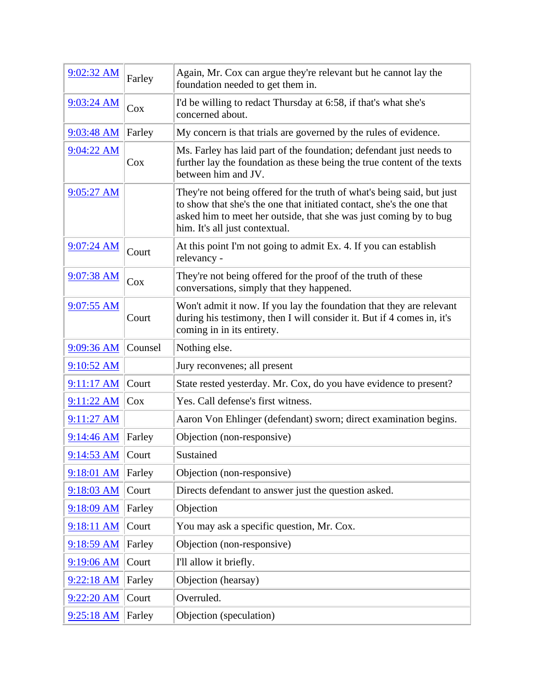| 9:02:32 AM         | Farley  | Again, Mr. Cox can argue they're relevant but he cannot lay the<br>foundation needed to get them in.                                                                                                                                                   |
|--------------------|---------|--------------------------------------------------------------------------------------------------------------------------------------------------------------------------------------------------------------------------------------------------------|
| $9:03:24$ AM       | Cox     | I'd be willing to redact Thursday at 6:58, if that's what she's<br>concerned about.                                                                                                                                                                    |
| 9:03:48 AM         | Farley  | My concern is that trials are governed by the rules of evidence.                                                                                                                                                                                       |
| 9:04:22 AM         | $\cos$  | Ms. Farley has laid part of the foundation; defendant just needs to<br>further lay the foundation as these being the true content of the texts<br>between him and JV.                                                                                  |
| 9:05:27 AM         |         | They're not being offered for the truth of what's being said, but just<br>to show that she's the one that initiated contact, she's the one that<br>asked him to meet her outside, that she was just coming by to bug<br>him. It's all just contextual. |
| 9:07:24 AM         | Court   | At this point I'm not going to admit Ex. 4. If you can establish<br>relevancy -                                                                                                                                                                        |
| 9:07:38 AM         | Cox     | They're not being offered for the proof of the truth of these<br>conversations, simply that they happened.                                                                                                                                             |
| $9:07:55$ AM       | Court   | Won't admit it now. If you lay the foundation that they are relevant<br>during his testimony, then I will consider it. But if 4 comes in, it's<br>coming in in its entirety.                                                                           |
| 9:09:36 AM         | Counsel | Nothing else.                                                                                                                                                                                                                                          |
| 9:10:52 AM         |         | Jury reconvenes; all present                                                                                                                                                                                                                           |
| 9:11:17 AM         | Court   | State rested yesterday. Mr. Cox, do you have evidence to present?                                                                                                                                                                                      |
| 9:11:22 AM         | Cox     | Yes. Call defense's first witness.                                                                                                                                                                                                                     |
| $9:11:27$ AM       |         | Aaron Von Ehlinger (defendant) sworn; direct examination begins.                                                                                                                                                                                       |
| 9:14:46 AM         | Farley  | Objection (non-responsive)                                                                                                                                                                                                                             |
| $9:14:53$ AM Court |         | Sustained                                                                                                                                                                                                                                              |
| 9:18:01 AM         | Farley  | Objection (non-responsive)                                                                                                                                                                                                                             |
| 9:18:03 AM         | Court   | Directs defendant to answer just the question asked.                                                                                                                                                                                                   |
| 9:18:09 AM         | Farley  | Objection                                                                                                                                                                                                                                              |
| 9:18:11 AM         | Court   | You may ask a specific question, Mr. Cox.                                                                                                                                                                                                              |
| 9:18:59 AM         | Farley  | Objection (non-responsive)                                                                                                                                                                                                                             |
| 9:19:06 AM         | Court   | I'll allow it briefly.                                                                                                                                                                                                                                 |
| 9:22:18 AM         | Farley  | Objection (hearsay)                                                                                                                                                                                                                                    |
| $9:22:20$ AM       | Court   | Overruled.                                                                                                                                                                                                                                             |
| 9:25:18 AM         | Farley  | Objection (speculation)                                                                                                                                                                                                                                |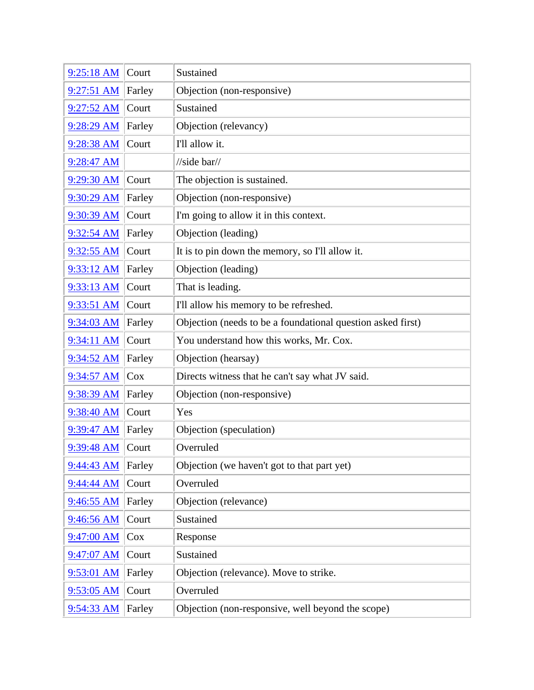| 9:25:18 AM   | Court  | Sustained                                                   |
|--------------|--------|-------------------------------------------------------------|
| $9:27:51$ AM | Farley | Objection (non-responsive)                                  |
| 9:27:52 AM   | Court  | Sustained                                                   |
| 9:28:29 AM   | Farley | Objection (relevancy)                                       |
| 9:28:38 AM   | Court  | I'll allow it.                                              |
| 9:28:47 AM   |        | //side bar//                                                |
| 9:29:30 AM   | Court  | The objection is sustained.                                 |
| 9:30:29 AM   | Farley | Objection (non-responsive)                                  |
| $9:30:39$ AM | Court  | I'm going to allow it in this context.                      |
| 9:32:54 AM   | Farley | Objection (leading)                                         |
| 9:32:55 AM   | Court  | It is to pin down the memory, so I'll allow it.             |
| 9:33:12 AM   | Farley | Objection (leading)                                         |
| 9:33:13 AM   | Court  | That is leading.                                            |
| $9:33:51$ AM | Court  | I'll allow his memory to be refreshed.                      |
| $9:34:03$ AM | Farley | Objection (needs to be a foundational question asked first) |
| 9:34:11 AM   | Court  | You understand how this works, Mr. Cox.                     |
| 9:34:52 AM   | Farley | Objection (hearsay)                                         |
| 9:34:57 AM   | Cox    | Directs witness that he can't say what JV said.             |
| 9:38:39 AM   | Farley | Objection (non-responsive)                                  |
| 9:38:40 AM   | Court  | Yes                                                         |
| $9:39:47$ AM | Farley | Objection (speculation)                                     |
| 9:39:48 AM   | Court  | Overruled                                                   |
| 9:44:43 AM   | Farley | Objection (we haven't got to that part yet)                 |
| 9:44:44 AM   | Court  | Overruled                                                   |
| 9:46:55 AM   | Farley | Objection (relevance)                                       |
| 9:46:56 AM   | Court  | Sustained                                                   |
| 9:47:00 AM   | Cox    | Response                                                    |
| 9:47:07 AM   | Court  | Sustained                                                   |
| $9:53:01$ AM | Farley | Objection (relevance). Move to strike.                      |
| 9:53:05 AM   | Court  | Overruled                                                   |
| 9:54:33 AM   | Farley | Objection (non-responsive, well beyond the scope)           |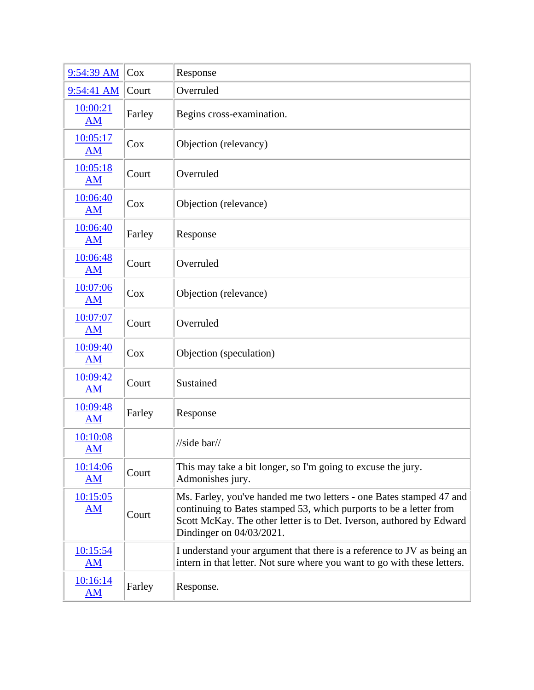| 9:54:39 AM            | $\cos$ | Response                                                                                                                                                                                                                                      |
|-----------------------|--------|-----------------------------------------------------------------------------------------------------------------------------------------------------------------------------------------------------------------------------------------------|
| 9:54:41 AM            | Court  | Overruled                                                                                                                                                                                                                                     |
| 10:00:21<br><b>AM</b> | Farley | Begins cross-examination.                                                                                                                                                                                                                     |
| 10:05:17<br><b>AM</b> | Cox    | Objection (relevancy)                                                                                                                                                                                                                         |
| 10:05:18<br><b>AM</b> | Court  | Overruled                                                                                                                                                                                                                                     |
| 10:06:40<br>AM        | Cox    | Objection (relevance)                                                                                                                                                                                                                         |
| 10:06:40<br><b>AM</b> | Farley | Response                                                                                                                                                                                                                                      |
| 10:06:48<br><b>AM</b> | Court  | Overruled                                                                                                                                                                                                                                     |
| 10:07:06<br><b>AM</b> | $\cos$ | Objection (relevance)                                                                                                                                                                                                                         |
| 10:07:07<br><b>AM</b> | Court  | Overruled                                                                                                                                                                                                                                     |
| 10:09:40<br><b>AM</b> | Cox    | Objection (speculation)                                                                                                                                                                                                                       |
| 10:09:42<br><b>AM</b> | Court  | Sustained                                                                                                                                                                                                                                     |
| 10:09:48<br>AM        | Farley | Response                                                                                                                                                                                                                                      |
| 10:10:08<br>AM        |        | //side bar//                                                                                                                                                                                                                                  |
| 10:14:06<br>AM        | Court  | This may take a bit longer, so I'm going to excuse the jury.<br>Admonishes jury.                                                                                                                                                              |
| 10:15:05<br><u>AM</u> | Court  | Ms. Farley, you've handed me two letters - one Bates stamped 47 and<br>continuing to Bates stamped 53, which purports to be a letter from<br>Scott McKay. The other letter is to Det. Iverson, authored by Edward<br>Dindinger on 04/03/2021. |
| 10:15:54<br>AM        |        | I understand your argument that there is a reference to JV as being an<br>intern in that letter. Not sure where you want to go with these letters.                                                                                            |
| 10:16:14<br>AM        | Farley | Response.                                                                                                                                                                                                                                     |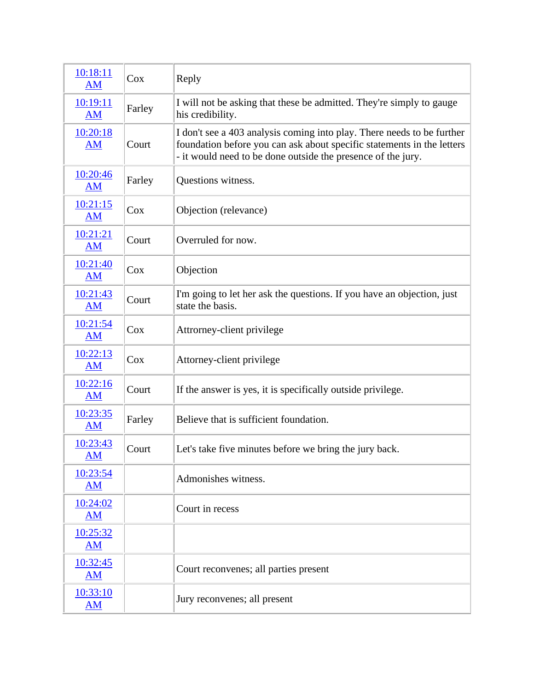| 10:18:11<br>AM                        | Cox    | Reply                                                                                                                                                                                                            |
|---------------------------------------|--------|------------------------------------------------------------------------------------------------------------------------------------------------------------------------------------------------------------------|
| 10:19:11<br>AM                        | Farley | I will not be asking that these be admitted. They're simply to gauge<br>his credibility.                                                                                                                         |
| 10:20:18<br><b>AM</b>                 | Court  | I don't see a 403 analysis coming into play. There needs to be further<br>foundation before you can ask about specific statements in the letters<br>- it would need to be done outside the presence of the jury. |
| 10:20:46<br><b>AM</b>                 | Farley | Questions witness.                                                                                                                                                                                               |
| 10:21:15<br>AM                        | $\cos$ | Objection (relevance)                                                                                                                                                                                            |
| 10:21:21<br><b>AM</b>                 | Court  | Overruled for now.                                                                                                                                                                                               |
| 10:21:40<br><b>AM</b>                 | Cox    | Objection                                                                                                                                                                                                        |
| 10:21:43<br>AM                        | Court  | I'm going to let her ask the questions. If you have an objection, just<br>state the basis.                                                                                                                       |
| 10:21:54<br>AM                        | Cox    | Attrorney-client privilege                                                                                                                                                                                       |
| 10:22:13<br>AM                        | Cox    | Attorney-client privilege                                                                                                                                                                                        |
| 10:22:16<br>AM                        | Court  | If the answer is yes, it is specifically outside privilege.                                                                                                                                                      |
| 10:23:35<br><b>AM</b>                 | Farley | Believe that is sufficient foundation.                                                                                                                                                                           |
| 10:23:43<br><u>AM</u>                 | Court  | Let's take five minutes before we bring the jury back.                                                                                                                                                           |
| 10:23:54<br>AM                        |        | Admonishes witness.                                                                                                                                                                                              |
| 10:24:02<br>$\mathbf{A}\mathbf{M}$    |        | Court in recess                                                                                                                                                                                                  |
| 10:25:32<br><b>AM</b>                 |        |                                                                                                                                                                                                                  |
| 10:32:45<br>$\underline{\mathbf{AM}}$ |        | Court reconvenes; all parties present                                                                                                                                                                            |
| 10:33:10<br>$\overline{\mathbf{AM}}$  |        | Jury reconvenes; all present                                                                                                                                                                                     |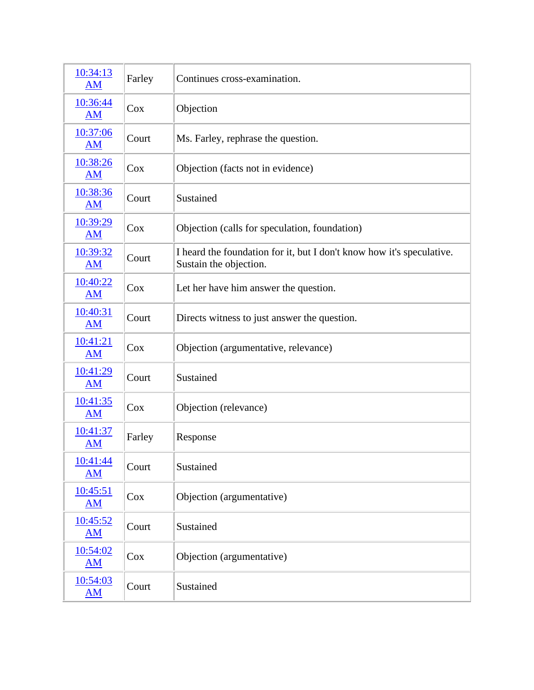| 10:34:13<br>AM                       | Farley | Continues cross-examination.                                                                    |
|--------------------------------------|--------|-------------------------------------------------------------------------------------------------|
| 10:36:44<br><b>AM</b>                | Cox    | Objection                                                                                       |
| 10:37:06<br><b>AM</b>                | Court  | Ms. Farley, rephrase the question.                                                              |
| 10:38:26<br>$\mathbf{A}\mathbf{M}$   | Cox    | Objection (facts not in evidence)                                                               |
| 10:38:36<br><b>AM</b>                | Court  | Sustained                                                                                       |
| 10:39:29<br><b>AM</b>                | $\cos$ | Objection (calls for speculation, foundation)                                                   |
| 10:39:32<br>AM                       | Court  | I heard the foundation for it, but I don't know how it's speculative.<br>Sustain the objection. |
| 10:40:22<br>$\overline{\mathbf{AM}}$ | Cox    | Let her have him answer the question.                                                           |
| 10:40:31<br>AM                       | Court  | Directs witness to just answer the question.                                                    |
| 10:41:21<br><b>AM</b>                | Cox    | Objection (argumentative, relevance)                                                            |
| 10:41:29<br>AM                       | Court  | Sustained                                                                                       |
| 10:41:35<br>AM                       | Cox    | Objection (relevance)                                                                           |
| 10:41:37<br><b>AM</b>                | Farley | Response                                                                                        |
| 10:41:44<br>AM                       | Court  | Sustained                                                                                       |
| 10:45:51<br><b>AM</b>                | Cox    | Objection (argumentative)                                                                       |
| 10:45:52<br>AM                       | Court  | Sustained                                                                                       |
| 10:54:02<br>AM                       | Cox    | Objection (argumentative)                                                                       |
| 10:54:03<br><u>AM</u>                | Court  | Sustained                                                                                       |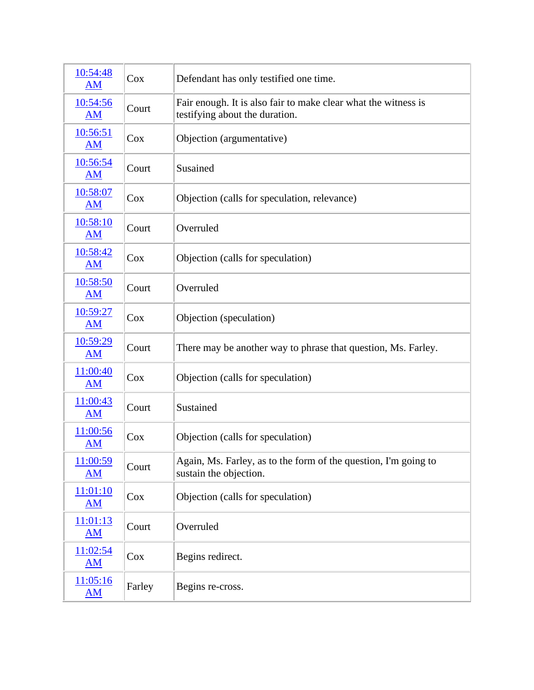| 10:54:48<br>AM                     | $\cos$ | Defendant has only testified one time.                                                           |
|------------------------------------|--------|--------------------------------------------------------------------------------------------------|
| 10:54:56<br>$\mathbf{A}\mathbf{M}$ | Court  | Fair enough. It is also fair to make clear what the witness is<br>testifying about the duration. |
| 10:56:51<br><b>AM</b>              | Cox    | Objection (argumentative)                                                                        |
| 10:56:54<br>AM                     | Court  | Susained                                                                                         |
| 10:58:07<br>AM                     | Cox    | Objection (calls for speculation, relevance)                                                     |
| 10:58:10<br>AM                     | Court  | Overruled                                                                                        |
| 10:58:42<br>AM                     | Cox    | Objection (calls for speculation)                                                                |
| 10:58:50<br>AM                     | Court  | Overruled                                                                                        |
| 10:59:27<br>AM                     | Cox    | Objection (speculation)                                                                          |
| 10:59:29<br><b>AM</b>              | Court  | There may be another way to phrase that question, Ms. Farley.                                    |
| 11:00:40<br>AM                     | Cox    | Objection (calls for speculation)                                                                |
| 11:00:43<br><b>AM</b>              | Court  | Sustained                                                                                        |
| 11:00:56<br><b>AM</b>              | $\cos$ | Objection (calls for speculation)                                                                |
| 11:00:59<br>AM                     | Court  | Again, Ms. Farley, as to the form of the question, I'm going to<br>sustain the objection.        |
| 11:01:10<br>AM                     | $\cos$ | Objection (calls for speculation)                                                                |
| 11:01:13<br>AM                     | Court  | Overruled                                                                                        |
| 11:02:54<br>AM                     | $\cos$ | Begins redirect.                                                                                 |
| 11:05:16<br><u>AM</u>              | Farley | Begins re-cross.                                                                                 |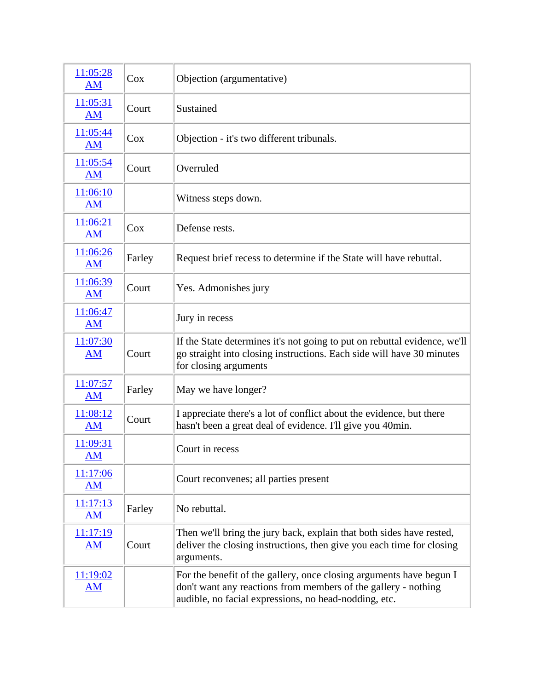| 11:05:28<br>AM                       | Cox    | Objection (argumentative)                                                                                                                                                                      |
|--------------------------------------|--------|------------------------------------------------------------------------------------------------------------------------------------------------------------------------------------------------|
| 11:05:31<br>AM                       | Court  | Sustained                                                                                                                                                                                      |
| 11:05:44<br><b>AM</b>                | Cox    | Objection - it's two different tribunals.                                                                                                                                                      |
| 11:05:54<br><b>AM</b>                | Court  | Overruled                                                                                                                                                                                      |
| 11:06:10<br>AM                       |        | Witness steps down.                                                                                                                                                                            |
| 11:06:21<br>AM                       | Cox    | Defense rests.                                                                                                                                                                                 |
| 11:06:26<br>AM                       | Farley | Request brief recess to determine if the State will have rebuttal.                                                                                                                             |
| 11:06:39<br>AM                       | Court  | Yes. Admonishes jury                                                                                                                                                                           |
| 11:06:47<br>AM                       |        | Jury in recess                                                                                                                                                                                 |
| 11:07:30<br>AM                       | Court  | If the State determines it's not going to put on rebuttal evidence, we'll<br>go straight into closing instructions. Each side will have 30 minutes<br>for closing arguments                    |
| 11:07:57<br>AM                       | Farley | May we have longer?                                                                                                                                                                            |
| 11:08:12<br>AM                       | Court  | I appreciate there's a lot of conflict about the evidence, but there<br>hasn't been a great deal of evidence. I'll give you 40min.                                                             |
| 11:09:31<br><b>AM</b>                |        | Court in recess                                                                                                                                                                                |
| 11:17:06<br>AM                       |        | Court reconvenes; all parties present                                                                                                                                                          |
| 11:17:13<br>AM                       | Farley | No rebuttal.                                                                                                                                                                                   |
| 11:17:19<br>AM                       | Court  | Then we'll bring the jury back, explain that both sides have rested,<br>deliver the closing instructions, then give you each time for closing<br>arguments.                                    |
| 11:19:02<br>$\overline{\mathbf{AM}}$ |        | For the benefit of the gallery, once closing arguments have begun I<br>don't want any reactions from members of the gallery - nothing<br>audible, no facial expressions, no head-nodding, etc. |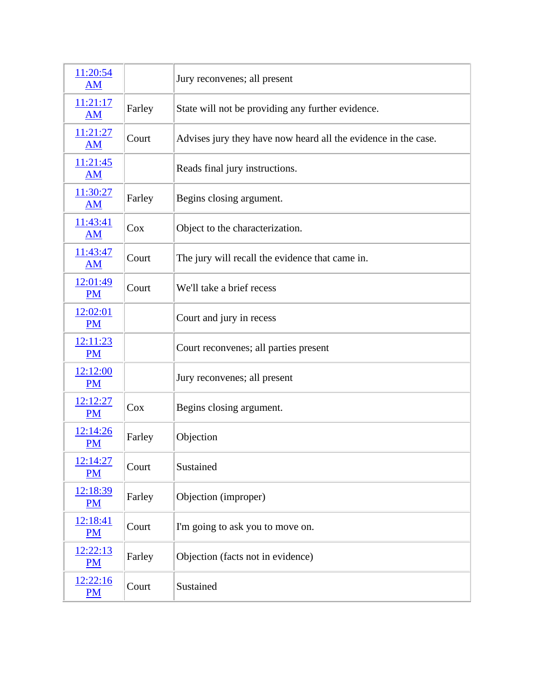| 11:20:54<br>AM        |        | Jury reconvenes; all present                                   |
|-----------------------|--------|----------------------------------------------------------------|
| 11:21:17<br><b>AM</b> | Farley | State will not be providing any further evidence.              |
| 11:21:27<br><b>AM</b> | Court  | Advises jury they have now heard all the evidence in the case. |
| 11:21:45<br><b>AM</b> |        | Reads final jury instructions.                                 |
| 11:30:27<br><b>AM</b> | Farley | Begins closing argument.                                       |
| 11:43:41<br><b>AM</b> | Cox    | Object to the characterization.                                |
| 11:43:47<br><b>AM</b> | Court  | The jury will recall the evidence that came in.                |
| 12:01:49<br><b>PM</b> | Court  | We'll take a brief recess                                      |
| 12:02:01<br><b>PM</b> |        | Court and jury in recess                                       |
| 12:11:23<br><b>PM</b> |        | Court reconvenes; all parties present                          |
| 12:12:00<br><b>PM</b> |        | Jury reconvenes; all present                                   |
| 12:12:27<br><b>PM</b> | Cox    | Begins closing argument.                                       |
| 12:14:26<br><b>PM</b> | Farley | Objection                                                      |
| 12:14:27<br><b>PM</b> | Court  | Sustained                                                      |
| 12:18:39<br><b>PM</b> | Farley | Objection (improper)                                           |
| 12:18:41<br><b>PM</b> | Court  | I'm going to ask you to move on.                               |
| 12:22:13<br>PM        | Farley | Objection (facts not in evidence)                              |
| 12:22:16<br>PM        | Court  | Sustained                                                      |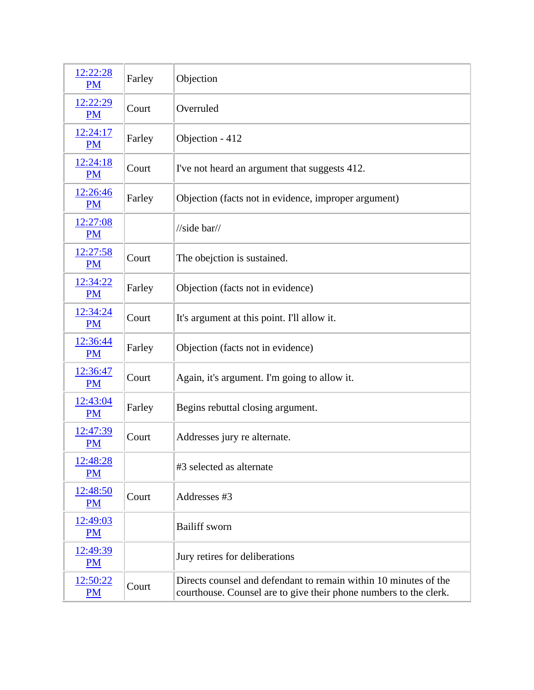| 12:22:28<br><b>PM</b> | Farley | Objection                                                                                                                             |
|-----------------------|--------|---------------------------------------------------------------------------------------------------------------------------------------|
| 12:22:29<br><b>PM</b> | Court  | Overruled                                                                                                                             |
| 12:24:17<br><b>PM</b> | Farley | Objection - 412                                                                                                                       |
| 12:24:18<br><b>PM</b> | Court  | I've not heard an argument that suggests 412.                                                                                         |
| 12:26:46<br><b>PM</b> | Farley | Objection (facts not in evidence, improper argument)                                                                                  |
| 12:27:08<br><b>PM</b> |        | $\frac{1}{\sqrt{1}}$                                                                                                                  |
| 12:27:58<br><b>PM</b> | Court  | The obejction is sustained.                                                                                                           |
| 12:34:22<br><b>PM</b> | Farley | Objection (facts not in evidence)                                                                                                     |
| 12:34:24<br><b>PM</b> | Court  | It's argument at this point. I'll allow it.                                                                                           |
| 12:36:44<br><b>PM</b> | Farley | Objection (facts not in evidence)                                                                                                     |
| 12:36:47<br><b>PM</b> | Court  | Again, it's argument. I'm going to allow it.                                                                                          |
| 12:43:04<br><b>PM</b> | Farley | Begins rebuttal closing argument.                                                                                                     |
| 12:47:39<br><b>PM</b> | Court  | Addresses jury re alternate.                                                                                                          |
| 12:48:28<br><b>PM</b> |        | #3 selected as alternate                                                                                                              |
| 12:48:50<br><b>PM</b> | Court  | Addresses #3                                                                                                                          |
| 12:49:03<br><b>PM</b> |        | <b>Bailiff</b> sworn                                                                                                                  |
| 12:49:39<br>PM        |        | Jury retires for deliberations                                                                                                        |
| 12:50:22<br>PM        | Court  | Directs counsel and defendant to remain within 10 minutes of the<br>courthouse. Counsel are to give their phone numbers to the clerk. |